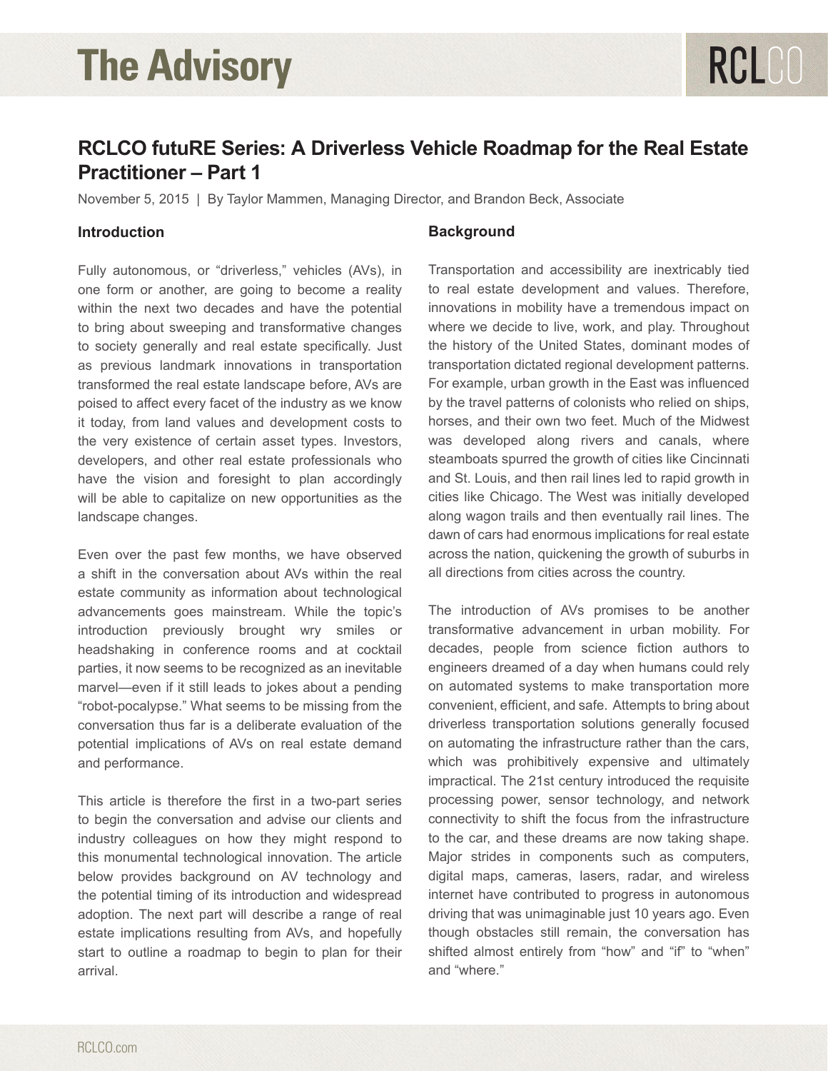### **RCLCO futuRE Series: A Driverless Vehicle Roadmap for the Real Estate Practitioner – Part 1**

November 5, 2015 | By Taylor Mammen, Managing Director, and Brandon Beck, Associate

#### **Introduction**

Fully autonomous, or "driverless," vehicles (AVs), in one form or another, are going to become a reality within the next two decades and have the potential to bring about sweeping and transformative changes to society generally and real estate specifically. Just as previous landmark innovations in transportation transformed the real estate landscape before, AVs are poised to affect every facet of the industry as we know it today, from land values and development costs to the very existence of certain asset types. Investors, developers, and other real estate professionals who have the vision and foresight to plan accordingly will be able to capitalize on new opportunities as the landscape changes.

Even over the past few months, we have observed a shift in the conversation about AVs within the real estate community as information about technological advancements goes mainstream. While the topic's introduction previously brought wry smiles or headshaking in conference rooms and at cocktail parties, it now seems to be recognized as an inevitable marvel—even if it still leads to jokes about a pending "robot-pocalypse." What seems to be missing from the conversation thus far is a deliberate evaluation of the potential implications of AVs on real estate demand and performance.

This article is therefore the first in a two-part series to begin the conversation and advise our clients and industry colleagues on how they might respond to this monumental technological innovation. The article below provides background on AV technology and the potential timing of its introduction and widespread adoption. The next part will describe a range of real estate implications resulting from AVs, and hopefully start to outline a roadmap to begin to plan for their arrival.

#### **Background**

Transportation and accessibility are inextricably tied to real estate development and values. Therefore, innovations in mobility have a tremendous impact on where we decide to live, work, and play. Throughout the history of the United States, dominant modes of transportation dictated regional development patterns. For example, urban growth in the East was influenced by the travel patterns of colonists who relied on ships, horses, and their own two feet. Much of the Midwest was developed along rivers and canals, where steamboats spurred the growth of cities like Cincinnati and St. Louis, and then rail lines led to rapid growth in cities like Chicago. The West was initially developed along wagon trails and then eventually rail lines. The dawn of cars had enormous implications for real estate across the nation, quickening the growth of suburbs in all directions from cities across the country.

RCLCO

The introduction of AVs promises to be another transformative advancement in urban mobility. For decades, people from science fiction authors to engineers dreamed of a day when humans could rely on automated systems to make transportation more convenient, efficient, and safe. Attempts to bring about driverless transportation solutions generally focused on automating the infrastructure rather than the cars, which was prohibitively expensive and ultimately impractical. The 21st century introduced the requisite processing power, sensor technology, and network connectivity to shift the focus from the infrastructure to the car, and these dreams are now taking shape. Major strides in components such as computers, digital maps, cameras, lasers, radar, and wireless internet have contributed to progress in autonomous driving that was unimaginable just 10 years ago. Even though obstacles still remain, the conversation has shifted almost entirely from "how" and "if" to "when" and "where."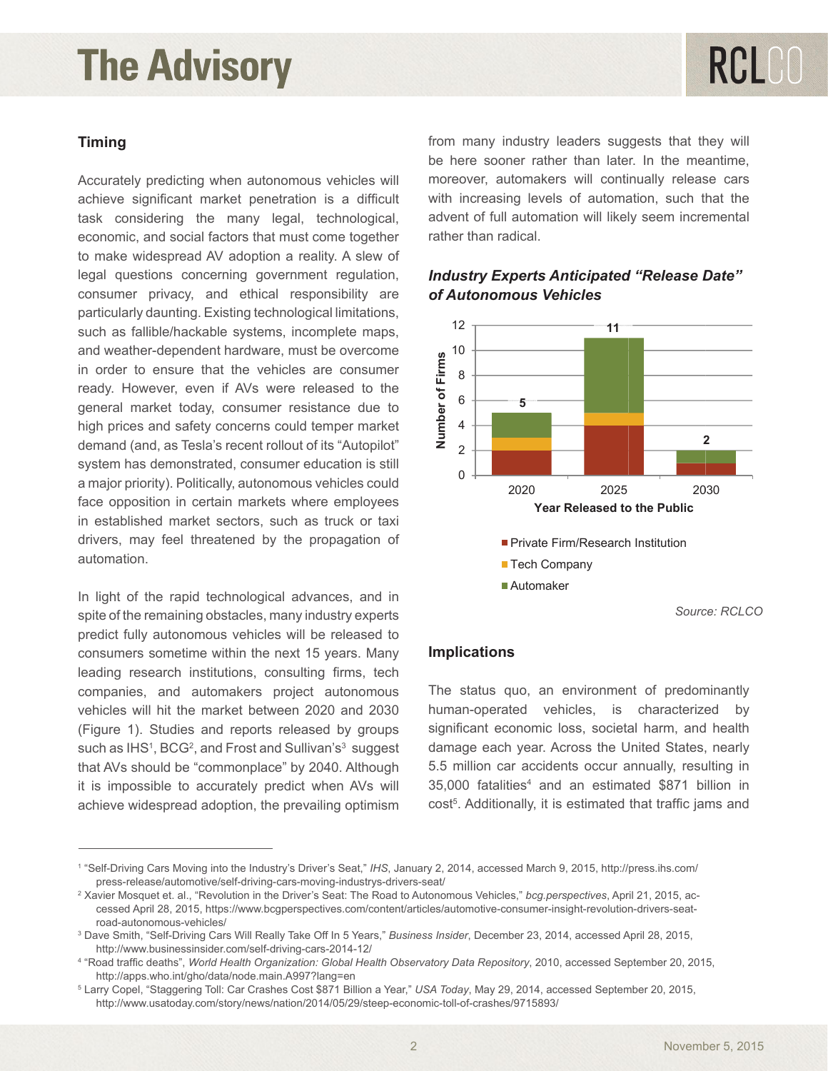#### **Timing**

Accurately predicting when autonomous vehicles will achieve significant market penetration is a difficult task considering the many legal, technological, economic, and social factors that must come together to make widespread AV adoption a reality. A slew of legal questions concerning government regulation, consumer privacy, and ethical responsibility are particularly daunting. Existing technological limitations, such as fallible/hackable systems, incomplete maps, and weather-dependent hardware, must be overcome in order to ensure that the vehicles are consumer ready. However, even if AVs were released to the general market today, consumer resistance due to high prices and safety concerns could temper market demand (and, as Tesla's recent rollout of its "Autopilot" system has demonstrated, consumer education is still a major priority). Politically, autonomous vehicles could face opposition in certain markets where employees in established market sectors, such as truck or taxi drivers, may feel threatened by the propagation of automation.

In light of the rapid technological advances, and in spite of the remaining obstacles, many industry experts predict fully autonomous vehicles will be released to consumers sometime within the next 15 years. Many leading research institutions, consulting firms, tech companies, and automakers project autonomous vehicles will hit the market between 2020 and 2030 (Figure 1). Studies and reports released by groups such as IHS<sup>1</sup>, BCG<sup>2</sup>, and Frost and Sullivan's<sup>3</sup> suggest that AVs should be "commonplace" by 2040. Although it is impossible to accurately predict when AVs will achieve widespread adoption, the prevailing optimism

from many industry leaders suggests that they will be here sooner rather than later. In the meantime, moreover, automakers will continually release cars with increasing levels of automation, such that the advent of full automation will likely seem incremental rather than radical.



#### **Figure 1 - Industry Experts An** *of Autonomous Vehicles* **ticipated "R Release Dat Industry Experts Anticipated "Release Date"**

*Source: RCLCO*

#### **Implications**

The status quo, an environment of predominantly human-operated vehicles, is characterized by significant economic loss, societal harm, and health damage each year. Across the United States, nearly 5.5 million car accidents occur annually, resulting in 35,000 fatalities4 and an estimated \$871 billion in cost<sup>5</sup>. Additionally, it is estimated that traffic jams and

<sup>1</sup> "Self-Driving Cars Moving into the Industry's Driver's Seat," *IHS*, January 2, 2014, accessed March 9, 2015, http://press.ihs.com/ press-release/automotive/self-driving-cars-moving-industrys-drivers-seat/ 2

<sup>&</sup>lt;sup>2</sup> Xavier Mosquet et. al., "Revolution in the Driver's Seat: The Road to Autonomous Vehicles," *bcg.perspectives*, April 21, 2015, accessed April 28, 2015, https://www.bcgperspectives.com/content/articles/automotive-consumer-insight-revolution-drivers-seatroad-autonomous-vehicles/

<sup>3</sup> Dave Smith, "Self-Driving Cars Will Really Take Off In 5 Years," *Business Insider*, December 23, 2014, accessed April 28, 2015, http://www.businessinsider.com/self-driving-cars-2014-12/

<sup>4</sup> "Road traffic deaths", *World Health Organization: Global Health Observatory Data Repository*, 2010, accessed September 20, 2015, http://apps.who.int/gho/data/node.main.A997?lang=en

<sup>5</sup> Larry Copel, "Staggering Toll: Car Crashes Cost \$871 Billion a Year," *USA Today*, May 29, 2014, accessed September 20, 2015, http://www.usatoday.com/story/news/nation/2014/05/29/steep-economic-toll-of-crashes/9715893/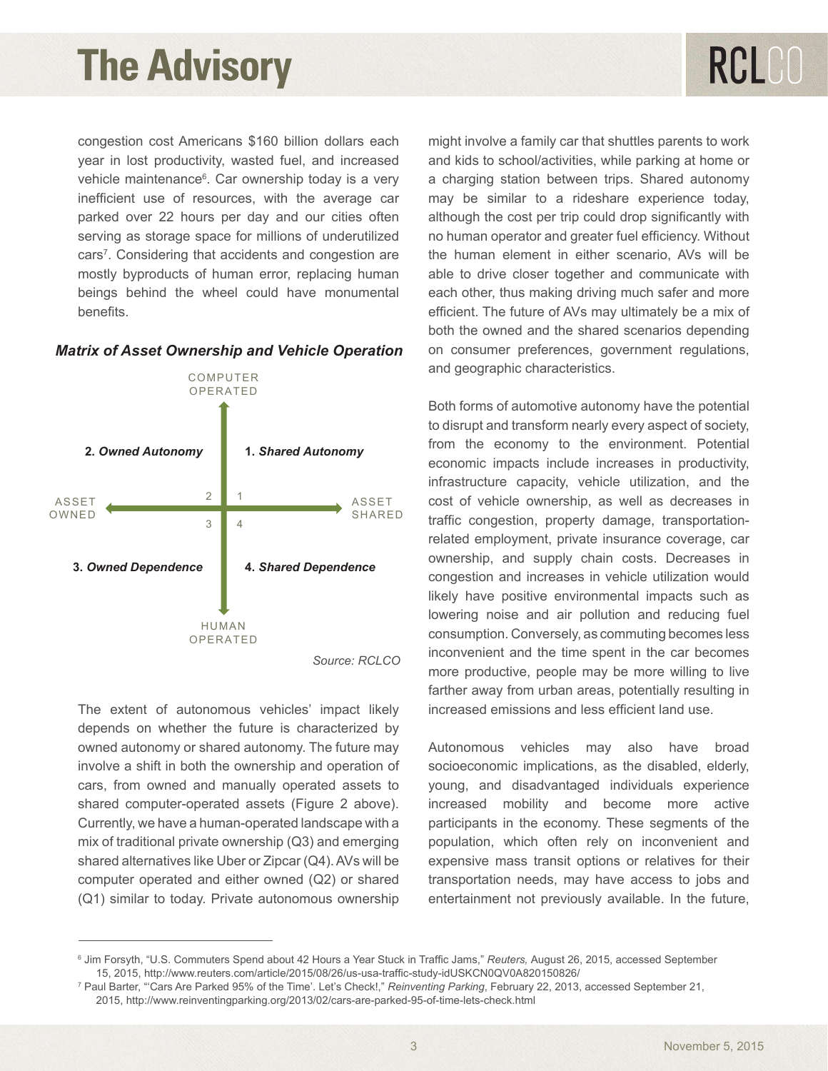# RCLCO

congestion cost Americans \$160 billion dollars each year in lost productivity, wasted fuel, and increased vehicle maintenance<sup>6</sup>. Car ownership today is a very inefficient use of resources, with the average car parked over 22 hours per day and our cities often serving as storage space for millions of underutilized cars<sup>7</sup>. Considering that accidents and congestion are mostly byproducts of human error, replacing human beings behind the wheel could have monumental benefits.

#### *Matrix of Asset Ownership and Vehicle Operation*



The extent of autonomous vehicles' impact likely depends on whether the future is characterized by owned autonomy or shared autonomy. The future may involve a shift in both the ownership and operation of cars, from owned and manually operated assets to shared computer-operated assets (Figure 2 above). Currently, we have a human-operated landscape with a mix of traditional private ownership (Q3) and emerging shared alternatives like Uber or Zipcar (Q4). AVs will be computer operated and either owned (Q2) or shared (Q1) similar to today. Private autonomous ownership

might involve a family car that shuttles parents to work and kids to school/activities, while parking at home or a charging station between trips. Shared autonomy may be similar to a rideshare experience today, although the cost per trip could drop significantly with no human operator and greater fuel efficiency. Without the human element in either scenario, AVs will be able to drive closer together and communicate with each other, thus making driving much safer and more efficient. The future of AVs may ultimately be a mix of both the owned and the shared scenarios depending on consumer preferences, government regulations, and geographic characteristics.

Both forms of automotive autonomy have the potential to disrupt and transform nearly every aspect of society, from the economy to the environment. Potential economic impacts include increases in productivity, infrastructure capacity, vehicle utilization, and the cost of vehicle ownership, as well as decreases in traffic congestion, property damage, transportationrelated employment, private insurance coverage, car ownership, and supply chain costs. Decreases in congestion and increases in vehicle utilization would likely have positive environmental impacts such as lowering noise and air pollution and reducing fuel consumption. Conversely, as commuting becomes less inconvenient and the time spent in the car becomes more productive, people may be more willing to live farther away from urban areas, potentially resulting in increased emissions and less efficient land use.

Autonomous vehicles may also have broad socioeconomic implications, as the disabled, elderly, young, and disadvantaged individuals experience increased mobility and become more active participants in the economy. These segments of the population, which often rely on inconvenient and expensive mass transit options or relatives for their transportation needs, may have access to jobs and entertainment not previously available. In the future,

<sup>6</sup> Jim Forsyth, "U.S. Commuters Spend about 42 Hours a Year Stuck in Traffic Jams," *Reuters,* August 26, 2015, accessed September 15, 2015, http://www.reuters.com/article/2015/08/26/us-usa-traffic-study-idUSKCN0QV0A820150826/

<sup>7</sup> Paul Barter, "'Cars Are Parked 95% of the Time'. Let's Check!," *Reinventing Parking*, February 22, 2013, accessed September 21, 2015, http://www.reinventingparking.org/2013/02/cars-are-parked-95-of-time-lets-check.html